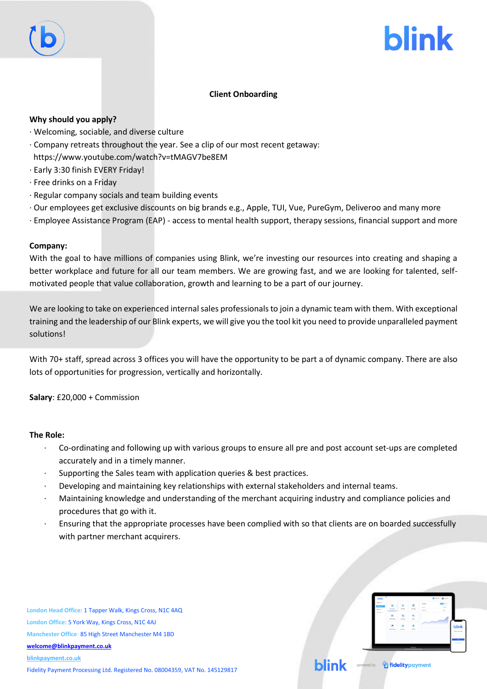# **blink**

## **Client Onboarding**

### **Why should you apply?**

- · Welcoming, sociable, and diverse culture
- · Company retreats throughout the year. See a clip of our most recent getaway: https://www.youtube.com/watch?v=tMAGV7be8EM
- · Early 3:30 finish EVERY Friday!
- · Free drinks on a Friday
- · Regular company socials and team building events
- · Our employees get exclusive discounts on big brands e.g., Apple, TUI, Vue, PureGym, Deliveroo and many more
- · Employee Assistance Program (EAP) access to mental health support, therapy sessions, financial support and more

#### **Company:**

With the goal to have millions of companies using Blink, we're investing our resources into creating and shaping a better workplace and future for all our team members. We are growing fast, and we are looking for talented, selfmotivated people that value collaboration, growth and learning to be a part of our journey.

We are looking to take on experienced internal sales professionals to join a dynamic team with them. With exceptional training and the leadership of our Blink experts, we will give you the tool kit you need to provide unparalleled payment solutions!

With 70+ staff, spread across 3 offices you will have the opportunity to be part a of dynamic company. There are also lots of opportunities for progression, vertically and horizontally.

**Salary**: £20,000 + Commission

#### **The Role:**

- · Co-ordinating and following up with various groups to ensure all pre and post account set-ups are completed accurately and in a timely manner.
- Supporting the Sales team with application queries & best practices.
- · Developing and maintaining key relationships with external stakeholders and internal teams.
- · Maintaining knowledge and understanding of the merchant acquiring industry and compliance policies and procedures that go with it.
- · Ensuring that the appropriate processes have been complied with so that clients are on boarded successfully with partner merchant acquirers.

**London Head Office:** 1 Tapper Walk, Kings Cross, N1C 4AQ **London Office:** 5 York Way, Kings Cross, N1C 4AJ **Manchester Office**: 85 High Street Manchester M4 1BD **[welcome@blinkpayment.co.uk](mailto:welcome@blinkpayment.co.uk) [blinkpayment.co.uk](http://www.blinkpayment.co.uk/)**

Fidelity Payment Processing Ltd. Registered No. 08004359, VAT No. 145129817